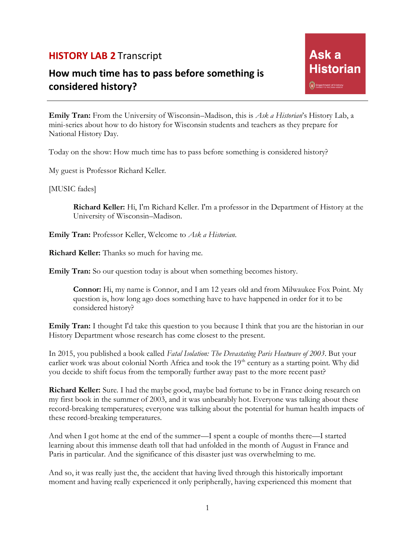## **HISTORY LAB 2** Transcript

## **How much time has to pass before something is considered history?**

**Emily Tran:** From the University of Wisconsin–Madison, this is *Ask a Historian*'s History Lab, a mini-series about how to do history for Wisconsin students and teachers as they prepare for National History Day.

Today on the show: How much time has to pass before something is considered history?

My guest is Professor Richard Keller.

[MUSIC fades]

**Richard Keller:** Hi, I'm Richard Keller. I'm a professor in the Department of History at the University of Wisconsin–Madison.

**Emily Tran:** Professor Keller, Welcome to *Ask a Historian*.

**Richard Keller:** Thanks so much for having me.

**Emily Tran:** So our question today is about when something becomes history.

**Connor:** Hi, my name is Connor, and I am 12 years old and from Milwaukee Fox Point. My question is, how long ago does something have to have happened in order for it to be considered history?

**Emily Tran:** I thought I'd take this question to you because I think that you are the historian in our History Department whose research has come closest to the present.

In 2015, you published a book called *Fatal Isolation: The Devastating Paris Heatwave of 2003*. But your earlier work was about colonial North Africa and took the 19<sup>th</sup> century as a starting point. Why did you decide to shift focus from the temporally further away past to the more recent past?

**Richard Keller:** Sure. I had the maybe good, maybe bad fortune to be in France doing research on my first book in the summer of 2003, and it was unbearably hot. Everyone was talking about these record-breaking temperatures; everyone was talking about the potential for human health impacts of these record-breaking temperatures.

And when I got home at the end of the summer—I spent a couple of months there—I started learning about this immense death toll that had unfolded in the month of August in France and Paris in particular. And the significance of this disaster just was overwhelming to me.

And so, it was really just the, the accident that having lived through this historically important moment and having really experienced it only peripherally, having experienced this moment that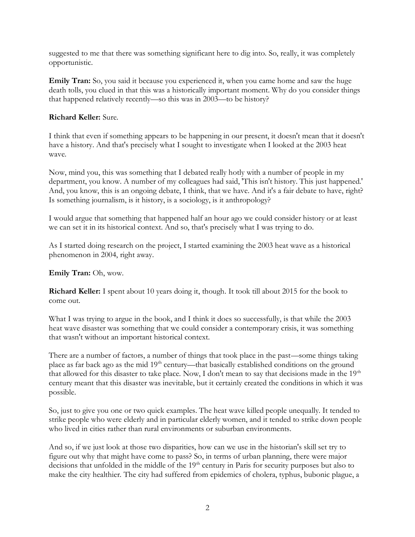suggested to me that there was something significant here to dig into. So, really, it was completely opportunistic.

**Emily Tran:** So, you said it because you experienced it, when you came home and saw the huge death tolls, you clued in that this was a historically important moment. Why do you consider things that happened relatively recently—so this was in 2003—to be history?

## **Richard Keller:** Sure.

I think that even if something appears to be happening in our present, it doesn't mean that it doesn't have a history. And that's precisely what I sought to investigate when I looked at the 2003 heat wave.

Now, mind you, this was something that I debated really hotly with a number of people in my department, you know. A number of my colleagues had said, 'This isn't history. This just happened.' And, you know, this is an ongoing debate, I think, that we have. And it's a fair debate to have, right? Is something journalism, is it history, is a sociology, is it anthropology?

I would argue that something that happened half an hour ago we could consider history or at least we can set it in its historical context. And so, that's precisely what I was trying to do.

As I started doing research on the project, I started examining the 2003 heat wave as a historical phenomenon in 2004, right away.

## **Emily Tran:** Oh, wow.

**Richard Keller:** I spent about 10 years doing it, though. It took till about 2015 for the book to come out.

What I was trying to argue in the book, and I think it does so successfully, is that while the 2003 heat wave disaster was something that we could consider a contemporary crisis, it was something that wasn't without an important historical context.

There are a number of factors, a number of things that took place in the past—some things taking place as far back ago as the mid 19<sup>th</sup> century—that basically established conditions on the ground that allowed for this disaster to take place. Now, I don't mean to say that decisions made in the  $19<sup>th</sup>$ century meant that this disaster was inevitable, but it certainly created the conditions in which it was possible.

So, just to give you one or two quick examples. The heat wave killed people unequally. It tended to strike people who were elderly and in particular elderly women, and it tended to strike down people who lived in cities rather than rural environments or suburban environments.

And so, if we just look at those two disparities, how can we use in the historian's skill set try to figure out why that might have come to pass? So, in terms of urban planning, there were major decisions that unfolded in the middle of the 19<sup>th</sup> century in Paris for security purposes but also to make the city healthier. The city had suffered from epidemics of cholera, typhus, bubonic plague, a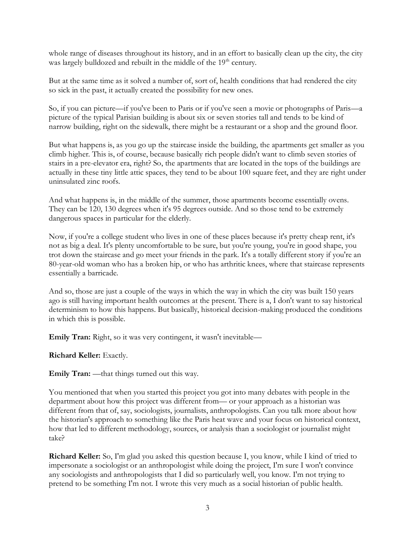whole range of diseases throughout its history, and in an effort to basically clean up the city, the city was largely bulldozed and rebuilt in the middle of the  $19<sup>th</sup>$  century.

But at the same time as it solved a number of, sort of, health conditions that had rendered the city so sick in the past, it actually created the possibility for new ones.

So, if you can picture—if you've been to Paris or if you've seen a movie or photographs of Paris—a picture of the typical Parisian building is about six or seven stories tall and tends to be kind of narrow building, right on the sidewalk, there might be a restaurant or a shop and the ground floor.

But what happens is, as you go up the staircase inside the building, the apartments get smaller as you climb higher. This is, of course, because basically rich people didn't want to climb seven stories of stairs in a pre-elevator era, right? So, the apartments that are located in the tops of the buildings are actually in these tiny little attic spaces, they tend to be about 100 square feet, and they are right under uninsulated zinc roofs.

And what happens is, in the middle of the summer, those apartments become essentially ovens. They can be 120, 130 degrees when it's 95 degrees outside. And so those tend to be extremely dangerous spaces in particular for the elderly.

Now, if you're a college student who lives in one of these places because it's pretty cheap rent, it's not as big a deal. It's plenty uncomfortable to be sure, but you're young, you're in good shape, you trot down the staircase and go meet your friends in the park. It's a totally different story if you're an 80-year-old woman who has a broken hip, or who has arthritic knees, where that staircase represents essentially a barricade.

And so, those are just a couple of the ways in which the way in which the city was built 150 years ago is still having important health outcomes at the present. There is a, I don't want to say historical determinism to how this happens. But basically, historical decision-making produced the conditions in which this is possible.

**Emily Tran:** Right, so it was very contingent, it wasn't inevitable—

**Richard Keller:** Exactly.

**Emily Tran:** —that things turned out this way.

You mentioned that when you started this project you got into many debates with people in the department about how this project was different from— or your approach as a historian was different from that of, say, sociologists, journalists, anthropologists. Can you talk more about how the historian's approach to something like the Paris heat wave and your focus on historical context, how that led to different methodology, sources, or analysis than a sociologist or journalist might take?

**Richard Keller:** So, I'm glad you asked this question because I, you know, while I kind of tried to impersonate a sociologist or an anthropologist while doing the project, I'm sure I won't convince any sociologists and anthropologists that I did so particularly well, you know. I'm not trying to pretend to be something I'm not. I wrote this very much as a social historian of public health.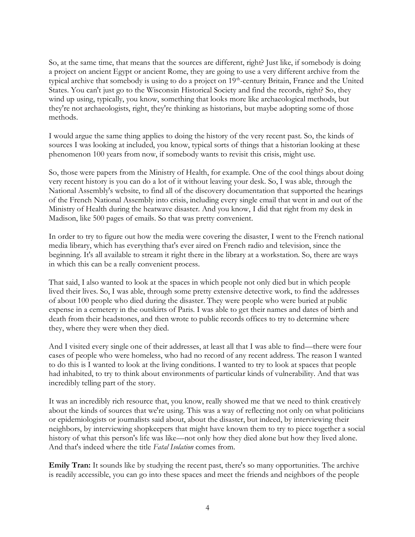So, at the same time, that means that the sources are different, right? Just like, if somebody is doing a project on ancient Egypt or ancient Rome, they are going to use a very different archive from the typical archive that somebody is using to do a project on 19<sup>th</sup>-century Britain, France and the United States. You can't just go to the Wisconsin Historical Society and find the records, right? So, they wind up using, typically, you know, something that looks more like archaeological methods, but they're not archaeologists, right, they're thinking as historians, but maybe adopting some of those methods.

I would argue the same thing applies to doing the history of the very recent past. So, the kinds of sources I was looking at included, you know, typical sorts of things that a historian looking at these phenomenon 100 years from now, if somebody wants to revisit this crisis, might use.

So, those were papers from the Ministry of Health, for example. One of the cool things about doing very recent history is you can do a lot of it without leaving your desk. So, I was able, through the National Assembly's website, to find all of the discovery documentation that supported the hearings of the French National Assembly into crisis, including every single email that went in and out of the Ministry of Health during the heatwave disaster. And you know, I did that right from my desk in Madison, like 500 pages of emails. So that was pretty convenient.

In order to try to figure out how the media were covering the disaster, I went to the French national media library, which has everything that's ever aired on French radio and television, since the beginning. It's all available to stream it right there in the library at a workstation. So, there are ways in which this can be a really convenient process.

That said, I also wanted to look at the spaces in which people not only died but in which people lived their lives. So, I was able, through some pretty extensive detective work, to find the addresses of about 100 people who died during the disaster. They were people who were buried at public expense in a cemetery in the outskirts of Paris. I was able to get their names and dates of birth and death from their headstones, and then wrote to public records offices to try to determine where they, where they were when they died.

And I visited every single one of their addresses, at least all that I was able to find—there were four cases of people who were homeless, who had no record of any recent address. The reason I wanted to do this is I wanted to look at the living conditions. I wanted to try to look at spaces that people had inhabited, to try to think about environments of particular kinds of vulnerability. And that was incredibly telling part of the story.

It was an incredibly rich resource that, you know, really showed me that we need to think creatively about the kinds of sources that we're using. This was a way of reflecting not only on what politicians or epidemiologists or journalists said about, about the disaster, but indeed, by interviewing their neighbors, by interviewing shopkeepers that might have known them to try to piece together a social history of what this person's life was like—not only how they died alone but how they lived alone. And that's indeed where the title *Fatal Isolation* comes from.

**Emily Tran:** It sounds like by studying the recent past, there's so many opportunities. The archive is readily accessible, you can go into these spaces and meet the friends and neighbors of the people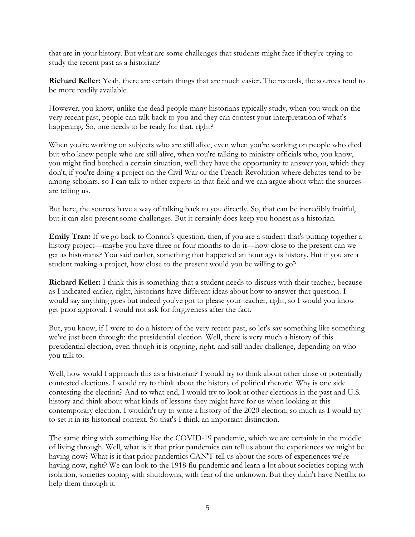that are in your history. But what are some challenges that students might face if they're trying to study the recent past as a historian?

**Richard Keller:** Yeah, there are certain things that are much easier. The records, the sources tend to be more readily available.

However, you know, unlike the dead people many historians typically study, when you work on the very recent past, people can talk back to you and they can contest your interpretation of what's happening. So, one needs to be ready for that, right?

When you're working on subjects who are still alive, even when you're working on people who died but who knew people who are still alive, when you're talking to ministry officials who, you know, you might find botched a certain situation, well they have the opportunity to answer you, which they don't, if you're doing a project on the Civil War or the French Revolution where debates tend to be among scholars, so I can talk to other experts in that field and we can argue about what the sources are telling us.

But here, the sources have a way of talking back to you directly. So, that can be incredibly fruitful, but it can also present some challenges. But it certainly does keep you honest as a historian.

**Emily Tran:** If we go back to Connor's question, then, if you are a student that's putting together a history project—maybe you have three or four months to do it—how close to the present can we get as historians? You said earlier, something that happened an hour ago is history. But if you are a student making a project, how close to the present would you be willing to go?

**Richard Keller:** I think this is something that a student needs to discuss with their teacher, because as I indicated earlier, right, historians have different ideas about how to answer that question. I would say anything goes but indeed you've got to please your teacher, right, so I would you know get prior approval. I would not ask for forgiveness after the fact.

But, you know, if I were to do a history of the very recent past, so let's say something like something we've just been through: the presidential election. Well, there is very much a history of this presidential election, even though it is ongoing, right, and still under challenge, depending on who you talk to.

Well, how would I approach this as a historian? I would try to think about other close or potentially contested elections. I would try to think about the history of political rhetoric. Why is one side contesting the election? And to what end, I would try to look at other elections in the past and U.S. history and think about what kinds of lessons they might have for us when looking at this contemporary election. I wouldn't try to write a history of the 2020 election, so much as I would try to set it in its historical context. So that's I think an important distinction.

The same thing with something like the COVID-19 pandemic, which we are certainly in the middle of living through. Well, what is it that prior pandemics can tell us about the experiences we might be having now? What is it that prior pandemics CAN'T tell us about the sorts of experiences we're having now, right? We can look to the 1918 flu pandemic and learn a lot about societies coping with isolation, societies coping with shutdowns, with fear of the unknown. But they didn't have Netflix to help them through it.